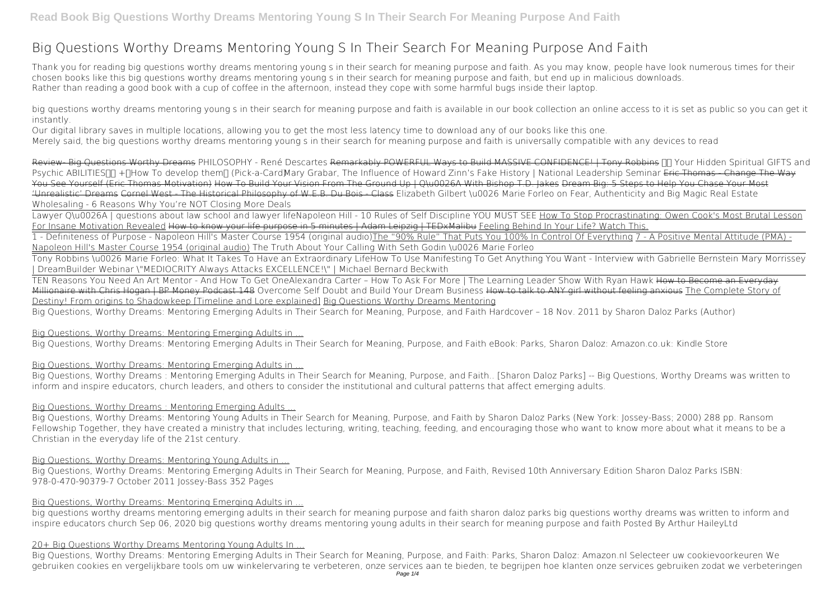# **Big Questions Worthy Dreams Mentoring Young S In Their Search For Meaning Purpose And Faith**

Thank you for reading **big questions worthy dreams mentoring young s in their search for meaning purpose and faith**. As you may know, people have look numerous times for their chosen books like this big questions worthy dreams mentoring young s in their search for meaning purpose and faith, but end up in malicious downloads. Rather than reading a good book with a cup of coffee in the afternoon, instead they cope with some harmful bugs inside their laptop.

big questions worthy dreams mentoring young s in their search for meaning purpose and faith is available in our book collection an online access to it is set as public so you can get it instantly.

Review- Big Questions Worthy Dreams PHILOSOPHY - René Descartes Remarkably POWERFUL Ways to Build MASSIVE CONFIDENCE! | Tony Robbins 
In Your Hidden Spiritual GIFTS and Psychic ABILITIES<sub>III</sub> +<sub>I</sub>How To develop them<sub>II</sub> (Pick-a-Card) Mary Grabar, The Influence of Howard Zinn's Fake History | National Leadership Seminar <del>Eric Thomas - Change The Way</del> You See Yourself (Eric Thomas Motivation) How To Build Your Vision From The Ground Up | O\u0026A With Bishop T.D. Jakes Dream Big: 5 Steps to Help You Chase Your Most 'Unrealistic' Dreams Cornel West - The Historical Philosophy of W.E.B. Du Bois - Class Elizabeth Gilbert \u0026 Marie Forleo on Fear, Authenticity and Big Magic **Real Estate Wholesaling - 6 Reasons Why You're NOT Closing More Deals**

Our digital library saves in multiple locations, allowing you to get the most less latency time to download any of our books like this one. Merely said, the big questions worthy dreams mentoring young s in their search for meaning purpose and faith is universally compatible with any devices to read

Lawyer Q\u0026A | questions about law school and lawyer life**Napoleon Hill - 10 Rules of Self Discipline YOU MUST SEE** How To Stop Procrastinating: Owen Cook's Most Brutal Lesson For Insane Motivation Revealed How to know your life purpose in 5 minutes | Adam Leipzig | TEDxMalibu Feeling Behind In Your Life? Watch This. 1 - Definiteness of Purpose - Napoleon Hill's Master Course 1954 (original audio)The "90% Rule" That Puts You 100% In Control Of Everything 7 - A Positive Mental Attitude (PMA) - Napoleon Hill's Master Course 1954 (original audio) *The Truth About Your Calling With Seth Godin \u0026 Marie Forleo*

Tony Robbins \u0026 Marie Forleo: What It Takes To Have an Extraordinary Life**How To Use Manifesting To Get Anything You Want - Interview with Gabrielle Bernstein Mary Morrissey | DreamBuilder Webinar** \"MEDIOCRITY Always Attacks EXCELLENCE!\" | Michael Bernard Beckwith

TEN Reasons You Need An Art Mentor - And How To Get One*Alexandra Carter – How To Ask For More | The Learning Leader Show With Ryan Hawk* How to Become an Everyday Millionaire with Chris Hogan I BP Money Podcast 148 Overcome Self Doubt and Build Your Dream Business How to talk to ANY girl without feeling anxious The Complete Story of Destiny! From origins to Shadowkeep [Timeline and Lore explained] Big Questions Worthy Dreams Mentoring

Big Questions, Worthy Dreams: Mentoring Emerging Adults in Their Search for Meaning, Purpose, and Faith Hardcover – 18 Nov. 2011 by Sharon Daloz Parks (Author)

#### Big Questions, Worthy Dreams: Mentoring Emerging Adults in ...

Big Questions, Worthy Dreams: Mentoring Emerging Adults in Their Search for Meaning, Purpose, and Faith eBook: Parks, Sharon Daloz: Amazon.co.uk: Kindle Store

# Big Questions, Worthy Dreams: Mentoring Emerging Adults in ...

Big Questions, Worthy Dreams : Mentoring Emerging Adults in Their Search for Meaning, Purpose, and Faith.. [Sharon Daloz Parks] -- Big Questions, Worthy Dreams was written to inform and inspire educators, church leaders, and others to consider the institutional and cultural patterns that affect emerging adults.

# Big Questions, Worthy Dreams : Mentoring Emerging Adults ...

Big Questions, Worthy Dreams: Mentoring Young Adults in Their Search for Meaning, Purpose, and Faith by Sharon Daloz Parks (New York: Jossey-Bass; 2000) 288 pp. Ransom Fellowship Together, they have created a ministry that includes lecturing, writing, teaching, feeding, and encouraging those who want to know more about what it means to be a Christian in the everyday life of the 21st century.

# Big Questions, Worthy Dreams: Mentoring Young Adults in ...

Big Questions, Worthy Dreams: Mentoring Emerging Adults in Their Search for Meaning, Purpose, and Faith, Revised 10th Anniversary Edition Sharon Daloz Parks ISBN: 978-0-470-90379-7 October 2011 Jossey-Bass 352 Pages

# Big Questions, Worthy Dreams: Mentoring Emerging Adults in ...

big questions worthy dreams mentoring emerging adults in their search for meaning purpose and faith sharon daloz parks big questions worthy dreams was written to inform and inspire educators church Sep 06, 2020 big questions worthy dreams mentoring young adults in their search for meaning purpose and faith Posted By Arthur HaileyLtd

# 20+ Big Questions Worthy Dreams Mentoring Young Adults In ...

Big Questions, Worthy Dreams: Mentoring Emerging Adults in Their Search for Meaning, Purpose, and Faith: Parks, Sharon Daloz: Amazon.nl Selecteer uw cookievoorkeuren We gebruiken cookies en vergelijkbare tools om uw winkelervaring te verbeteren, onze services aan te bieden, te begrijpen hoe klanten onze services gebruiken zodat we verbeteringen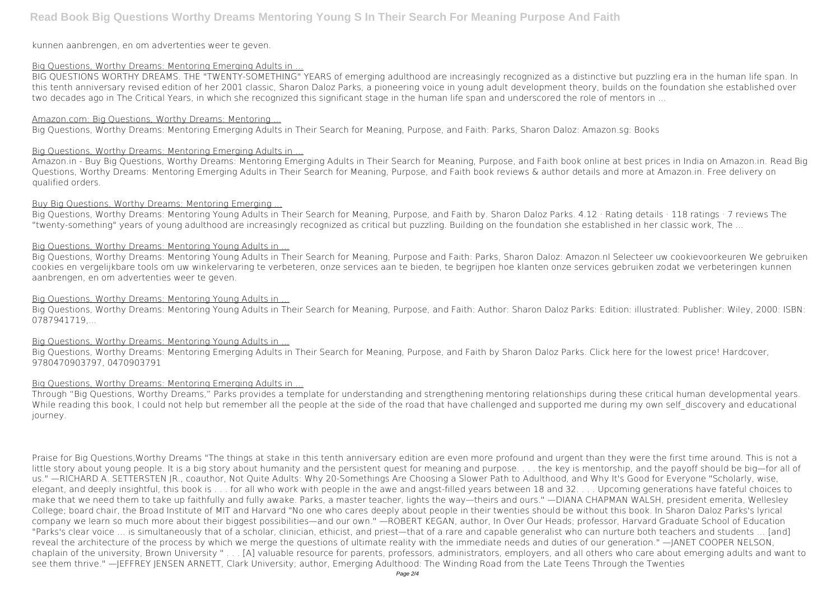# **Read Book Big Questions Worthy Dreams Mentoring Young S In Their Search For Meaning Purpose And Faith**

kunnen aanbrengen, en om advertenties weer te geven.

#### Big Questions, Worthy Dreams: Mentoring Emerging Adults in ...

BIG QUESTIONS WORTHY DREAMS. THE "TWENTY-SOMETHING" YEARS of emerging adulthood are increasingly recognized as a distinctive but puzzling era in the human life span. In this tenth anniversary revised edition of her 2001 classic, Sharon Daloz Parks, a pioneering voice in young adult development theory, builds on the foundation she established over two decades ago in The Critical Years, in which she recognized this significant stage in the human life span and underscored the role of mentors in ...

#### Amazon.com: Big Questions, Worthy Dreams: Mentoring ...

Big Questions, Worthy Dreams: Mentoring Emerging Adults in Their Search for Meaning, Purpose, and Faith: Parks, Sharon Daloz: Amazon.sg: Books

# Big Questions, Worthy Dreams: Mentoring Emerging Adults in ...

Amazon.in - Buy Big Questions, Worthy Dreams: Mentoring Emerging Adults in Their Search for Meaning, Purpose, and Faith book online at best prices in India on Amazon.in. Read Big Questions, Worthy Dreams: Mentoring Emerging Adults in Their Search for Meaning, Purpose, and Faith book reviews & author details and more at Amazon.in. Free delivery on qualified orders.

Big Questions, Worthy Dreams: Mentoring Young Adults in Their Search for Meaning, Purpose, and Faith: Author: Sharon Daloz Parks: Edition: illustrated: Publisher: Wiley, 2000: ISBN: 0787941719,...

# Buy Big Questions, Worthy Dreams: Mentoring Emerging ...

Big Questions, Worthy Dreams: Mentoring Young Adults in Their Search for Meaning, Purpose, and Faith by. Sharon Daloz Parks. 4.12 · Rating details · 118 ratings · 7 reviews The "twenty-something" years of young adulthood are increasingly recognized as critical but puzzling. Building on the foundation she established in her classic work, The ...

# Big Questions, Worthy Dreams: Mentoring Young Adults in ...

Big Questions, Worthy Dreams: Mentoring Young Adults in Their Search for Meaning, Purpose and Faith: Parks, Sharon Daloz: Amazon.nl Selecteer uw cookievoorkeuren We gebruiken cookies en vergelijkbare tools om uw winkelervaring te verbeteren, onze services aan te bieden, te begrijpen hoe klanten onze services gebruiken zodat we verbeteringen kunnen aanbrengen, en om advertenties weer te geven.

#### Big Questions, Worthy Dreams: Mentoring Young Adults in

# Big Questions, Worthy Dreams: Mentoring Young Adults in ...

Big Questions, Worthy Dreams: Mentoring Emerging Adults in Their Search for Meaning, Purpose, and Faith by Sharon Daloz Parks. Click here for the lowest price! Hardcover, 9780470903797, 0470903791

# Big Questions, Worthy Dreams: Mentoring Emerging Adults in ...

Through "Big Questions, Worthy Dreams," Parks provides a template for understanding and strengthening mentoring relationships during these critical human developmental years. While reading this book, I could not help but remember all the people at the side of the road that have challenged and supported me during my own self discovery and educational journey.

Praise for Big Questions,Worthy Dreams "The things at stake in this tenth anniversary edition are even more profound and urgent than they were the first time around. This is not a little story about young people. It is a big story about humanity and the persistent quest for meaning and purpose. . . . the key is mentorship, and the payoff should be big—for all of us." —RICHARD A. SETTERSTEN JR., coauthor, Not Quite Adults: Why 20-Somethings Are Choosing a Slower Path to Adulthood, and Why It's Good for Everyone "Scholarly, wise, elegant, and deeply insightful, this book is . . . for all who work with people in the awe and angst-filled years between 18 and 32. . . . Upcoming generations have fateful choices to make that we need them to take up faithfully and fully awake. Parks, a master teacher, lights the way—theirs and ours." —DIANA CHAPMAN WALSH, president emerita, Wellesley College; board chair, the Broad Institute of MIT and Harvard "No one who cares deeply about people in their twenties should be without this book. In Sharon Daloz Parks's lyrical company we learn so much more about their biggest possibilities—and our own." —ROBERT KEGAN, author, In Over Our Heads; professor, Harvard Graduate School of Education "Parks's clear voice … is simultaneously that of a scholar, clinician, ethicist, and priest—that of a rare and capable generalist who can nurture both teachers and students … [and] reveal the architecture of the process by which we merge the questions of ultimate reality with the immediate needs and duties of our generation." —JANET COOPER NELSON, chaplain of the university, Brown University " . . . [A] valuable resource for parents, professors, administrators, employers, and all others who care about emerging adults and want to see them thrive." —JEFFREY JENSEN ARNETT, Clark University; author, Emerging Adulthood: The Winding Road from the Late Teens Through the Twenties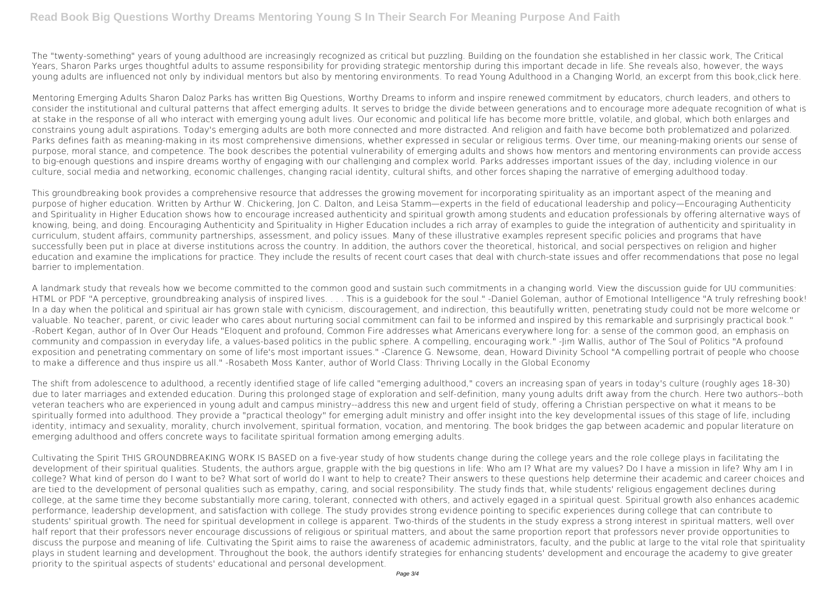The "twenty-something" years of young adulthood are increasingly recognized as critical but puzzling. Building on the foundation she established in her classic work, The Critical Years, Sharon Parks urges thoughtful adults to assume responsibility for providing strategic mentorship during this important decade in life. She reveals also, however, the ways young adults are influenced not only by individual mentors but also by mentoring environments. To read Young Adulthood in a Changing World, an excerpt from this book,click here.

Mentoring Emerging Adults Sharon Daloz Parks has written Big Questions, Worthy Dreams to inform and inspire renewed commitment by educators, church leaders, and others to consider the institutional and cultural patterns that affect emerging adults. It serves to bridge the divide between generations and to encourage more adequate recognition of what is at stake in the response of all who interact with emerging young adult lives. Our economic and political life has become more brittle, volatile, and global, which both enlarges and constrains young adult aspirations. Today's emerging adults are both more connected and more distracted. And religion and faith have become both problematized and polarized. Parks defines faith as meaning-making in its most comprehensive dimensions, whether expressed in secular or religious terms. Over time, our meaning-making orients our sense of purpose, moral stance, and competence. The book describes the potential vulnerability of emerging adults and shows how mentors and mentoring environments can provide access to big-enough questions and inspire dreams worthy of engaging with our challenging and complex world. Parks addresses important issues of the day, including violence in our culture, social media and networking, economic challenges, changing racial identity, cultural shifts, and other forces shaping the narrative of emerging adulthood today.

This groundbreaking book provides a comprehensive resource that addresses the growing movement for incorporating spirituality as an important aspect of the meaning and purpose of higher education. Written by Arthur W. Chickering, Jon C. Dalton, and Leisa Stamm—experts in the field of educational leadership and policy—Encouraging Authenticity and Spirituality in Higher Education shows how to encourage increased authenticity and spiritual growth among students and education professionals by offering alternative ways of knowing, being, and doing. Encouraging Authenticity and Spirituality in Higher Education includes a rich array of examples to guide the integration of authenticity and spirituality in curriculum, student affairs, community partnerships, assessment, and policy issues. Many of these illustrative examples represent specific policies and programs that have successfully been put in place at diverse institutions across the country. In addition, the authors cover the theoretical, historical, and social perspectives on religion and higher education and examine the implications for practice. They include the results of recent court cases that deal with church-state issues and offer recommendations that pose no legal barrier to implementation.

A landmark study that reveals how we become committed to the common good and sustain such commitments in a changing world. View the discussion guide for UU communities: HTML or PDF "A perceptive, groundbreaking analysis of inspired lives. . . . This is a guidebook for the soul." -Daniel Goleman, author of Emotional Intelligence "A truly refreshing book! In a day when the political and spiritual air has grown stale with cynicism, discouragement, and indirection, this beautifully written, penetrating study could not be more welcome or valuable. No teacher, parent, or civic leader who cares about nurturing social commitment can fail to be informed and inspired by this remarkable and surprisingly practical book." -Robert Kegan, author of In Over Our Heads "Eloquent and profound, Common Fire addresses what Americans everywhere long for: a sense of the common good, an emphasis on community and compassion in everyday life, a values-based politics in the public sphere. A compelling, encouraging work." -Jim Wallis, author of The Soul of Politics "A profound exposition and penetrating commentary on some of life's most important issues." -Clarence G. Newsome, dean, Howard Divinity School "A compelling portrait of people who choose to make a difference and thus inspire us all." -Rosabeth Moss Kanter, author of World Class: Thriving Locally in the Global Economy

The shift from adolescence to adulthood, a recently identified stage of life called "emerging adulthood," covers an increasing span of years in today's culture (roughly ages 18-30) due to later marriages and extended education. During this prolonged stage of exploration and self-definition, many young adults drift away from the church. Here two authors--both veteran teachers who are experienced in young adult and campus ministry--address this new and urgent field of study, offering a Christian perspective on what it means to be spiritually formed into adulthood. They provide a "practical theology" for emerging adult ministry and offer insight into the key developmental issues of this stage of life, including identity, intimacy and sexuality, morality, church involvement, spiritual formation, vocation, and mentoring. The book bridges the gap between academic and popular literature on emerging adulthood and offers concrete ways to facilitate spiritual formation among emerging adults.

Cultivating the Spirit THIS GROUNDBREAKING WORK IS BASED on a five-year study of how students change during the college years and the role college plays in facilitating the development of their spiritual qualities. Students, the authors argue, grapple with the big questions in life: Who am I? What are my values? Do I have a mission in life? Why am I in college? What kind of person do I want to be? What sort of world do I want to help to create? Their answers to these questions help determine their academic and career choices and are tied to the development of personal qualities such as empathy, caring, and social responsibility. The study finds that, while students' religious engagement declines during college, at the same time they become substantially more caring, tolerant, connected with others, and actively egaged in a spiritual quest. Spiritual growth also enhances academic performance, leadership development, and satisfaction with college. The study provides strong evidence pointing to specific experiences during college that can contribute to students' spiritual growth. The need for spiritual development in college is apparent. Two-thirds of the students in the study express a strong interest in spiritual matters, well over half report that their professors never encourage discussions of religious or spiritual matters, and about the same proportion report that professors never provide opportunities to discuss the purpose and meaning of life. Cultivating the Spirit aims to raise the awareness of academic administrators, faculty, and the public at large to the vital role that spirituality plays in student learning and development. Throughout the book, the authors identify strategies for enhancing students' development and encourage the academy to give greater priority to the spiritual aspects of students' educational and personal development.